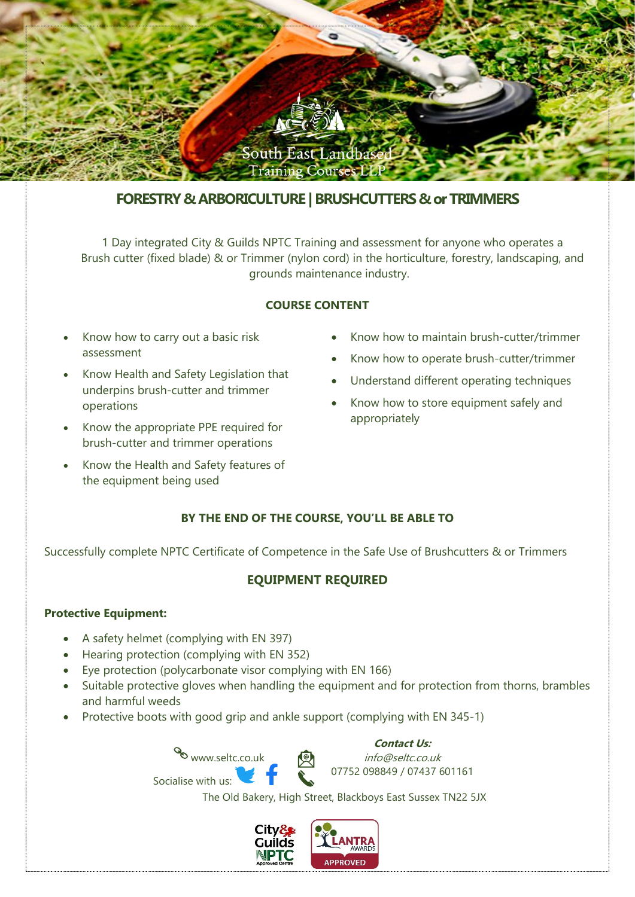

# **FORESTRY & ARBORICULTURE | BRUSHCUTTERS & or TRIMMERS**

1 Day integrated City & Guilds NPTC Training and assessment for anyone who operates a Brush cutter (fixed blade) & or Trimmer (nylon cord) in the horticulture, forestry, landscaping, and grounds maintenance industry.

### **COURSE CONTENT**

- Know how to carry out a basic risk assessment
- Know Health and Safety Legislation that underpins brush-cutter and trimmer operations
- Know the appropriate PPE required for brush-cutter and trimmer operations
- Know the Health and Safety features of the equipment being used
- Know how to maintain brush-cutter/trimmer
- Know how to operate brush-cutter/trimmer
- Understand different operating techniques
- Know how to store equipment safely and appropriately

# **BY THE END OF THE COURSE, YOU'LL BE ABLE TO**

Successfully complete NPTC Certificate of Competence in the Safe Use of Brushcutters & or Trimmers

# **EQUIPMENT REQUIRED**

# **Protective Equipment:**

- A safety helmet (complying with EN 397)
- Hearing protection (complying with EN 352)
- Eye protection (polycarbonate visor complying with EN 166)
- Suitable protective gloves when handling the equipment and for protection from thorns, brambles and harmful weeds
- Protective boots with good grip and ankle support (complying with EN 345-1)

www.seltc.co.uk Socialise with us:

**Contact Us:** info@seltc.co.uk 07752 098849 / 07437 601161

The Old Bakery, High Street, Blackboys East Sussex TN22 5JX